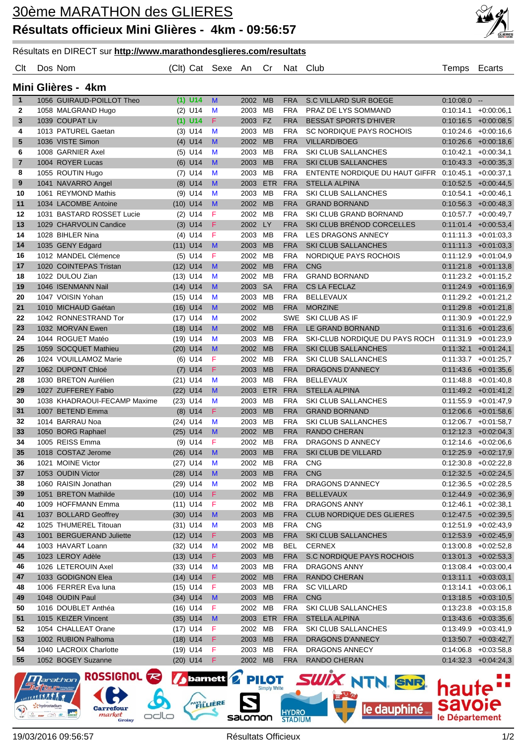

## Résultats en DIRECT sur **http://www.marathondesglieres.com/resultats**

## Clt Dos Nom (Clt) Cat Sexe An Cr Nat Club Temps Ecarts

|  |  | Mini Glières - 4km |  |
|--|--|--------------------|--|
|--|--|--------------------|--|

| $\mathbf{1}$     |                                                                                 | 1056 GUIRAUD-POILLOT Theo                    |            | $(1)$ U14    | M            | 2002 MB            |            | <b>FRA</b>               | S.C VILLARD SUR BOEGE                 | $0:10:08.0 -$ |                                                  |
|------------------|---------------------------------------------------------------------------------|----------------------------------------------|------------|--------------|--------------|--------------------|------------|--------------------------|---------------------------------------|---------------|--------------------------------------------------|
| 2                |                                                                                 | 1058 MALGRAND Hugo                           |            | $(2)$ U14    | M            | 2003 MB            |            | <b>FRA</b>               | PRAZ DE LYS SOMMAND                   |               | $0:10:14.1 + 0:00:06,1$                          |
| 3                |                                                                                 | 1039 COUPAT Liv                              |            | $(1)$ U14    | F            | 2003 FZ            |            | <b>FRA</b>               | <b>BESSAT SPORTS D'HIVER</b>          |               | $0:10:16.5$ +0:00:08,5                           |
| 4                |                                                                                 | 1013 PATUREL Gaetan                          |            | $(3)$ U14    | M            | 2003 MB            |            | <b>FRA</b>               | SC NORDIQUE PAYS ROCHOIS              |               | $0:10:24.6$ +0:00:16,6                           |
| 5                |                                                                                 | 1036 VISTE Simon                             |            | $(4)$ U14    | M            | 2002 MB            |            | <b>FRA</b>               | <b>VILLARD/BOEG</b>                   |               | $0:10:26.6$ +0:00:18,6                           |
| 6                |                                                                                 | 1008 GARNIER Axel                            |            | $(5)$ U14    | M            | 2003 MB            |            | <b>FRA</b>               | SKI CLUB SALLANCHES                   |               | $0:10:42.1$ +0:00:34,1                           |
| $\overline{7}$   |                                                                                 | 1004 ROYER Lucas                             |            | $(6)$ U14    | M            | 2003 MB            |            | <b>FRA</b>               | <b>SKI CLUB SALLANCHES</b>            |               | $0:10:43.3$ $+0:00:35.3$                         |
| 8                |                                                                                 | 1055 ROUTIN Hugo                             |            | $(7)$ U14    | M            | 2003               | MB         | <b>FRA</b>               | ENTENTE NORDIQUE DU HAUT GIFFR        |               | $0.10.45.1 + 0.00.37,1$                          |
| $\boldsymbol{9}$ |                                                                                 | 1041 NAVARRO Angel                           |            | $(8)$ U14    | M            | 2003               | <b>ETR</b> | <b>FRA</b>               | <b>STELLA ALPINA</b>                  |               | $0:10:52.5$ +0:00:44,5                           |
| 10               |                                                                                 | 1061 REYMOND Mathis                          |            | $(9)$ U14    | M            | 2003 MB            |            | <b>FRA</b>               | SKI CLUB SALLANCHES                   |               | $0:10:54.1$ +0:00:46,1                           |
| 11               |                                                                                 | 1034 LACOMBE Antoine                         |            | $(10)$ U14   | M            | 2002 MB            |            | <b>FRA</b>               | <b>GRAND BORNAND</b>                  |               | $0:10:56.3$ +0:00:48,3                           |
| 12               |                                                                                 | 1031 BASTARD ROSSET Lucie                    |            | $(2)$ U14    | F            | 2002 MB            |            | <b>FRA</b>               | SKI CLUB GRAND BORNAND                |               | $0:10:57.7$ +0:00:49.7                           |
| 13               |                                                                                 | 1029 CHARVOLIN Candice                       |            | $(3)$ U14    | F            | 2002 LY            |            | <b>FRA</b>               | SKI CLUB BRÉNOD CORCELLES             |               | $0:11:01.4$ +0:00:53,4                           |
| 14               |                                                                                 | 1028 BIHLER Nina                             |            | $(4)$ U14    | F            | 2003 MB            |            | <b>FRA</b>               | LES DRAGONS ANNECY                    |               | $0:11:11.3 + 0:01:03.3$                          |
| 14               |                                                                                 | 1035 GENY Edgard                             |            | $(11)$ U14   | M            | 2003 MB            |            | <b>FRA</b>               | <b>SKI CLUB SALLANCHES</b>            |               | $0:11:11.3$ +0:01:03,3                           |
| 16               |                                                                                 | 1012 MANDEL Clémence                         |            | $(5)$ U14    | F            | 2002 MB            |            | <b>FRA</b>               | NORDIQUE PAYS ROCHOIS                 |               | $0:11:12.9 + 0:01:04.9$                          |
| 17               |                                                                                 | 1020 COINTEPAS Tristan                       |            | $(12)$ U14   | M            | 2002 MB            |            | <b>FRA</b>               | <b>CNG</b>                            |               | $0:11:21.8$ +0:01:13,8                           |
| 18               |                                                                                 | 1022 DULOU Zian                              | $(13)$ U14 |              | M            | 2002 MB            |            | <b>FRA</b>               | <b>GRAND BORNAND</b>                  |               | $0:11:23.2 +0:01:15.2$                           |
| 19               |                                                                                 | 1046 ISENMANN Nail                           |            | $(14)$ U14   | M            | 2003 SA            |            | <b>FRA</b>               | <b>CS LA FECLAZ</b>                   |               | $0:11:24.9$ +0:01:16,9                           |
| 20               |                                                                                 | 1047 VOISIN Yohan                            |            | $(15)$ U14   | M            | 2003 MB            |            | <b>FRA</b>               | <b>BELLEVAUX</b>                      |               | $0:11:29.2$ +0:01:21,2                           |
| 21               |                                                                                 | 1010 MICHAUD Gaétan                          |            | $(16)$ U14   | M            | 2002 MB            |            | <b>FRA</b>               | <b>MORZINE</b>                        |               | $0:11:29.8$ +0:01:21,8                           |
| 22               |                                                                                 | 1042 RONNESTRAND Tor                         |            | $(17)$ U14   | M            | 2002               |            | SWE                      | SKI CLUB AS IF                        |               | $0:11:30.9$ +0:01:22,9                           |
| 23               |                                                                                 | 1032 MORVAN Ewen                             |            | $(18)$ U14   | M            | 2002 MB            |            | <b>FRA</b>               | LE GRAND BORNAND                      |               | $0:11:31.6$ +0:01:23,6                           |
| 24               |                                                                                 | 1044 ROGUET Matéo                            |            | $(19)$ U14   | M            | 2003 MB            |            | <b>FRA</b>               | SKI-CLUB NORDIQUE DU PAYS ROCH        |               | $0.11:31.9 + 0.01:23.9$                          |
| 25               |                                                                                 | 1059 SOCQUET Mathieu                         |            | $(20)$ U14   | M            | 2002 MB            |            | <b>FRA</b>               | <b>SKI CLUB SALLANCHES</b>            |               | $0:11:32.1 + 0:01:24.1$                          |
| 26               |                                                                                 | 1024 VOUILLAMOZ Marie                        |            | $(6)$ U14    | F            | 2002 MB            |            | <b>FRA</b>               | SKI CLUB SALLANCHES                   |               | $0:11:33.7$ +0:01:25,7                           |
| 27               |                                                                                 | 1062 DUPONT Chloé                            |            | $(7)$ U14    | F            | 2003               | <b>MB</b>  | <b>FRA</b>               | <b>DRAGONS D'ANNECY</b>               |               | $0:11:43.6$ +0:01:35,6                           |
| 28               |                                                                                 | 1030 BRETON Aurélien                         |            | $(21)$ U14   | M            | 2003 MB            |            | <b>FRA</b>               | <b>BELLEVAUX</b>                      |               | $0:11:48.8$ +0:01:40,8                           |
| 29               |                                                                                 | 1027 ZUFFEREY Fabio                          |            | $(22)$ U14   | M            | 2003 ETR           |            | <b>FRA</b>               | <b>STELLA ALPINA</b>                  |               | $0:11:49.2$ +0:01:41,2                           |
| 30               |                                                                                 | 1038 KHADRAOUI-FECAMP Maxime                 | $(23)$ U14 |              | M            | 2003 MB            |            | <b>FRA</b>               | SKI CLUB SALLANCHES                   |               | $0:11:55.9 + 0:01:47.9$                          |
| 31               |                                                                                 | 1007 BETEND Emma                             |            | $(8)$ U14    | F            | 2003 MB            |            | <b>FRA</b>               | <b>GRAND BORNAND</b>                  |               | $0:12:06.6$ +0:01:58,6                           |
| 32               |                                                                                 | 1014 BARRAU Noa                              |            | $(24)$ U14   | M            | 2003 MB            |            | <b>FRA</b>               | SKI CLUB SALLANCHES                   |               | $0.12.06.7 + 0.01.58.7$                          |
| 33               |                                                                                 | 1050 BORG Raphael                            |            | $(25)$ U14   | M            | 2002 MB            |            | <b>FRA</b>               | <b>RANDO CHERAN</b>                   |               | $0:12:12.3$ +0:02:04,3                           |
| 34               |                                                                                 | 1005 REISS Emma                              |            | $(9)$ U14    | F            | 2002 MB            |            | <b>FRA</b>               | DRAGONS D ANNECY                      |               | $0:12:14.6$ +0:02:06.6                           |
| 35               |                                                                                 | 1018 COSTAZ Jerome                           |            | $(26)$ U14   | M            | 2003 MB            |            | <b>FRA</b>               | <b>SKI CLUB DE VILLARD</b>            |               | $0:12:25.9$ +0:02:17,9                           |
| 36               |                                                                                 | 1021 MOINE Victor                            |            | $(27)$ U14   | M            | 2002 MB            |            | <b>FRA</b>               | <b>CNG</b>                            |               | $0:12:30.8$ +0:02:22,8                           |
| 37               |                                                                                 | 1053 OUDIN Victor                            |            | $(28)$ U14   | M            | 2003 MB            |            | <b>FRA</b>               | <b>CNG</b>                            |               | $0:12:32.5$ +0:02:24,5                           |
| 38               |                                                                                 | 1060 RAISIN Jonathan                         |            | $(29)$ U14 M |              | 2002 MB            |            | <b>FRA</b>               | DRAGONS D'ANNECY                      |               | $0:12:36.5$ +0:02:28,5                           |
| 39               |                                                                                 | 1051 BRETON Mathilde                         |            | $(10)$ U14   | F            | 2002 MB            |            | <b>FRA</b>               | <b>BELLEVAUX</b>                      |               | $0.12.44.9 + 0.02.36,9$                          |
| 40               |                                                                                 | 1009 HOFFMANN Emma                           |            | $(11)$ U14   | F            | 2002 MB            |            | <b>FRA</b>               | <b>DRAGONS ANNY</b>                   |               | $0:12:46.1$ +0:02:38,1                           |
| 41               |                                                                                 | 1037 BOLLARD Geoffrey                        |            | $(30)$ U14   | $\mathsf{M}$ | 2003 MB            |            | <b>FRA</b>               | CLUB NORDIQUE DES GLIERES             |               | $0.12:47.5$ +0:02:39,5                           |
| 42               |                                                                                 | 1025 THUMEREL Titouan                        |            | $(31)$ U14   | M            | 2003 MB            |            | <b>FRA</b>               | <b>CNG</b>                            |               | $0:12:51.9$ +0:02:43,9                           |
| 43               |                                                                                 | 1001 BERGUERAND Juliette                     |            | $(12)$ U14   | F            | 2003 MB            |            | <b>FRA</b>               | SKI CLUB SALLANCHES                   |               | $0.12:53.9$ +0:02:45,9                           |
| 44               |                                                                                 | 1003 HAVART Loann                            |            | $(32)$ U14   | M            | 2002 MB            |            | <b>BEL</b>               | <b>CERNEX</b>                         |               | $0:13:00.8$ +0:02:52,8                           |
| 45               |                                                                                 | 1023 LEROY Adèle                             |            | $(13)$ U14   | F            | 2003 MB            |            | <b>FRA</b>               | S.C NORDIQUE PAYS ROCHOIS             |               | $0:13:01.3$ +0:02:53,3                           |
| 46               |                                                                                 | 1026 LETEROUIN Axel                          |            | $(33)$ U14   | M            | 2003 MB            |            | <b>FRA</b>               | <b>DRAGONS ANNY</b>                   |               | $0.13.08.4 + 0.03.00,4$                          |
| 47               |                                                                                 | 1033 GODIGNON Elea                           |            | $(14)$ U14   | F            | 2002 MB            |            | <b>FRA</b>               | <b>RANDO CHERAN</b>                   |               | $0:13:11.1 + 0:03:03.1$                          |
| 48               |                                                                                 | 1006 FERRER Eva luna                         |            | $(15)$ U14   | F            | 2003 MB            |            | <b>FRA</b>               | <b>SC VILLARD</b>                     |               | $0:13:14.1 + 0:03:06,1$                          |
| 49               |                                                                                 | 1048 OUDIN Paul                              |            | $(34)$ U14   | M            | 2003 MB            |            | <b>FRA</b>               | <b>CNG</b>                            |               | $0:13:18.5$ +0:03:10,5                           |
| 50               |                                                                                 | 1016 DOUBLET Anthéa                          |            | $(16)$ U14   | F            | 2002 MB            |            | <b>FRA</b>               | SKI CLUB SALLANCHES                   |               | $0:13:23.8$ +0:03:15,8                           |
| 51               |                                                                                 | 1015 KEIZER Vincent                          |            | $(35)$ U14   | M            | 2003 ETR           |            | <b>FRA</b>               | <b>STELLA ALPINA</b>                  |               | $0.13:43.6$ +0:03:35,6                           |
| 52               |                                                                                 | 1054 CHALLEAT Orane                          |            | $(17)$ U14   | F            | 2002 MB            |            | <b>FRA</b>               | SKI CLUB SALLANCHES                   |               | $0:13:49.9$ +0:03:41,9                           |
| 53               |                                                                                 | 1002 RUBION Palhoma                          |            | $(18)$ U14   | F            | 2003 MB            |            | <b>FRA</b>               | DRAGONS D'ANNECY                      |               | $0:13:50.7$ +0:03:42,7                           |
| 54<br>55         |                                                                                 | 1040 LACROIX Charlotte<br>1052 BOGEY Suzanne |            | $(19)$ U14   | F            | 2003 MB<br>2002 MB |            | <b>FRA</b><br><b>FRA</b> | DRAGONS ANNECY<br><b>RANDO CHERAN</b> |               | $0.14:06.8$ +0:03:58,8<br>$0:14:32.3$ +0:04:24,3 |
|                  |                                                                                 |                                              |            | $(20)$ U14   | F            |                    |            |                          |                                       |               |                                                  |
|                  | ROSSIGNOL <b>23</b><br>PILOT SWIX NTN. SNR. hauta"<br><b>barnett</b><br>arathon |                                              |            |              |              |                    |            |                          |                                       |               |                                                  |

*Narathor* **MATATATA R** hydrostadium  $\overline{a}$ 

ROSSIGNOL **R Carrefour**<br>market odlo

salomon

**HYDRO**<br>STADIUM

PAYS LIERE

haute

le dauphiné.

**savoie** 

le Département